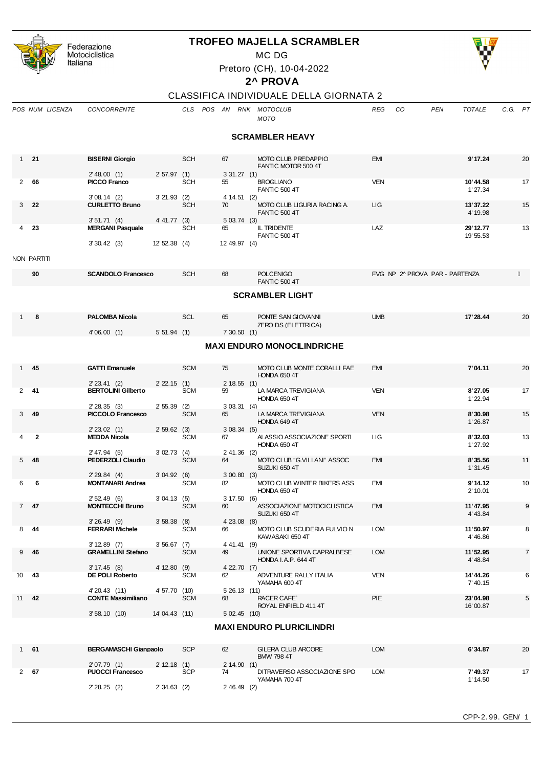|              |                                    | Federazione                               |                 |            |                         | <b>TROFEO MAJELLA SCRAMBLER</b>                          |                  |                                |                |  |  |  |
|--------------|------------------------------------|-------------------------------------------|-----------------|------------|-------------------------|----------------------------------------------------------|------------------|--------------------------------|----------------|--|--|--|
|              |                                    | Motociclistica                            |                 |            |                         | MC DG                                                    |                  |                                |                |  |  |  |
|              |                                    | Italiana                                  |                 |            |                         | Pretoro (CH), 10-04-2022                                 |                  |                                |                |  |  |  |
|              |                                    |                                           |                 |            |                         | 2^ PROVA                                                 |                  |                                |                |  |  |  |
|              |                                    |                                           |                 |            |                         | CLASSIFICA INDIVIDUALE DELLA GIORNATA 2                  |                  |                                |                |  |  |  |
|              | POS NUM LICENZA                    | <b>CONCORRENTE</b>                        |                 |            | CLS POS AN RNK MOTOCLUB |                                                          | <b>REG</b><br>CO | PEN<br><b>TOTALE</b>           | C.G. PT        |  |  |  |
|              |                                    |                                           |                 |            |                         | <b>MOTO</b>                                              |                  |                                |                |  |  |  |
|              |                                    |                                           |                 |            |                         | <b>SCRAMBLER HEAVY</b>                                   |                  |                                |                |  |  |  |
|              | $1 \quad 21$                       | <b>BISERNI Giorgio</b>                    |                 | <b>SCH</b> | 67                      | MOTO CLUB PREDAPPIO                                      | <b>EMI</b>       | 9' 17.24                       | 20             |  |  |  |
|              |                                    |                                           |                 |            |                         | FANTIC MOTOR 500 4T                                      |                  |                                |                |  |  |  |
| 2            | 66                                 | 2' 48.00 (1)<br><b>PICCO Franco</b>       | 2'57.97(1)      | <b>SCH</b> | 3'31.27(1)<br>55        | <b>BROGLIANO</b>                                         | <b>VEN</b>       | 10'44.58                       | 17             |  |  |  |
|              |                                    | 3'08.14(2)                                | $3'21.93$ (2)   |            | 4' 14.51 (2)            | <b>FANTIC 500 4T</b>                                     |                  | 1'27.34                        |                |  |  |  |
| 3            | 22                                 | <b>CURLETTO Bruno</b>                     |                 | <b>SCH</b> | 70                      | MOTO CLUB LIGURIA RACING A.<br><b>FANTIC 500 4T</b>      | ЦG               | 13'37.22<br>4' 19.98           | 15             |  |  |  |
| 4            | 23                                 | 3'51.71(4)<br><b>MERGANI Pasquale</b>     | $4' 41.77$ (3)  | <b>SCH</b> | 5'03.74(3)<br>65        | IL TRIDENTE                                              | LAZ              | 29' 12.77                      | 13             |  |  |  |
|              |                                    | 3'30.42(3)                                | $12' 52.38$ (4) |            | 12' 49.97 (4)           | <b>FANTIC 500 4T</b>                                     |                  | 19' 55.53                      |                |  |  |  |
|              |                                    |                                           |                 |            |                         |                                                          |                  |                                |                |  |  |  |
|              | NON PARTITI                        |                                           |                 |            |                         |                                                          |                  |                                |                |  |  |  |
|              | 90                                 | <b>SCANDOLO Francesco</b>                 |                 | <b>SCH</b> | 68                      | <b>POLCENIGO</b><br><b>FANTIC 500 4T</b>                 |                  | FVG NP 2^ PROVA PAR - PARTENZA |                |  |  |  |
|              |                                    |                                           |                 |            |                         | <b>SCRAMBLER LIGHT</b>                                   |                  |                                |                |  |  |  |
| $1 \quad$    | 8                                  | <b>PALOMBA Nicola</b>                     |                 | <b>SCL</b> | 65                      | PONTE SAN GIOVANNI                                       | <b>UMB</b>       | 17' 28.44                      | 20             |  |  |  |
|              |                                    | 4'06.00(1)                                | 5'51.94(1)      |            | 7'30.50(1)              | <b>ZERO DS (ELETTRICA)</b>                               |                  |                                |                |  |  |  |
|              | <b>MAXI ENDURO MONOCILINDRICHE</b> |                                           |                 |            |                         |                                                          |                  |                                |                |  |  |  |
| $1 \quad$    | 45                                 | <b>GATTI Emanuele</b>                     |                 | <b>SCM</b> | 75                      | MOTO CLUB MONTE CORALLI FAE                              | <b>EMI</b>       | 7'04.11                        | 20             |  |  |  |
|              |                                    | 2'23.41(2)                                | $2' 22.15$ (1)  |            | 2'18.55(1)              | HONDA 650 4T                                             |                  |                                |                |  |  |  |
| $\mathbf{2}$ | -41                                | <b>BERTOLINI Gilberto</b>                 |                 | <b>SCM</b> | 59                      | LA MARCA TREVIGIANA                                      | <b>VEN</b>       | 8'27.05                        | 17             |  |  |  |
|              |                                    | 2'28.35(3)                                | $2'55.39$ (2)   |            | 3'03.31(4)              | HONDA 650 4T                                             |                  | 1'22.94                        |                |  |  |  |
| 3            | 49                                 | <b>PICCOLO Francesco</b>                  |                 | <b>SCM</b> | 65                      | LA MARCA TREVIGIANA<br>HONDA 649 4T                      | <b>VEN</b>       | 8'30.98<br>1'26.87             | 15             |  |  |  |
|              |                                    | $2' 23.02$ (1)                            | 2'59.62(3)      |            | 3'08.34(5)              |                                                          |                  |                                |                |  |  |  |
|              | $\mathbf{2}$                       | <b>MEDDA Nicola</b>                       |                 | <b>SCM</b> | 67                      | ALASSIO ASSOCIAZIONE SPORTI<br>HONDA 650 4T              | ЦG               | 8'32.03<br>1'27.92             | 13             |  |  |  |
|              | $5$ 48                             | 2' 47.94 (5)<br>PEDERZOLI Claudio         | 3'02.73(4)      | <b>SCM</b> | $2' 41.36$ (2)<br>64    | MOTO CLUB "G.VILLANI" ASSOC                              | EMI              | 8'35.56                        | 11             |  |  |  |
|              |                                    |                                           | 3'04.92(6)      |            |                         | SUZUKI 650 4T                                            |                  | 1'31.45                        |                |  |  |  |
| 6            | 6                                  | $2' 29.84$ (4)<br><b>MONTANARI Andrea</b> |                 | <b>SCM</b> | 3'00.80(3)<br>82        | MOTO CLUB WINTER BIKERS ASS<br>HONDA 650 4T              | EMI              | 9'14.12<br>2' 10.01            | 10             |  |  |  |
| $7^{\circ}$  | 47                                 | 2'52.49(6)<br><b>MONTECCHI Bruno</b>      | 3'04.13(5)      | <b>SCM</b> | 3'17.50(6)<br>60        | ASSOCIAZIONE MOTOCICLISTICA                              | EMI              | 11'47.95                       | 9              |  |  |  |
|              |                                    | $3'26.49$ (9)                             | 3'58.38(8)      |            | $4'$ 23.08 $(8)$        | SUZUKI 650 4T                                            |                  | 4' 43.84                       |                |  |  |  |
| 8            | 44                                 | <b>FERRARI Michele</b>                    |                 | <b>SCM</b> | 66                      | MOTO CLUB SCUDERIA FULVIO N                              | <b>LOM</b>       | 11'50.97                       | 8              |  |  |  |
|              |                                    | $3' 12.89$ (7)                            | 3'56.67(7)      |            | 4' 41.41 (9)            | KAWASAKI 650 4T                                          |                  | 4' 46.86                       |                |  |  |  |
| 9            | 46                                 | <b>GRAMELLINI Stefano</b><br>3'17.45(8)   | 4' 12.80 (9)    | <b>SCM</b> | 49<br>$4'$ 22.70 $(7)$  | UNIONE SPORTIVA CAPRALBESE<br><b>HONDA I.A.P. 644 4T</b> | <b>LOM</b>       | 11'52.95<br>4' 48.84           | $\overline{7}$ |  |  |  |
| 10           | 43                                 | DE POLI Roberto                           |                 | <b>SCM</b> | 62                      | ADVENTURE RALLY ITALIA                                   | <b>VEN</b>       | 14' 44.26                      | 6              |  |  |  |
|              |                                    | 4'20.43 (11)                              | 4' 57.70 (10)   |            | 5'26.13(11)             | YAMAHA 600 4T                                            |                  | 7'40.15                        |                |  |  |  |
| 11           | 42                                 | <b>CONTE Massimiliano</b>                 |                 | <b>SCM</b> | 68                      | <b>RACER CAFE</b><br>ROYAL ENFIELD 411 4T                | PIE              | 23'04.98<br>16'00.87           | 5              |  |  |  |
|              |                                    | 3'58.10(10)                               | 14'04.43 (11)   |            | 5'02.45(10)             |                                                          |                  |                                |                |  |  |  |
|              |                                    |                                           |                 |            |                         | <b>MAXI ENDURO PLURICILINDRI</b>                         |                  |                                |                |  |  |  |
|              | $1$ 61                             | <b>BERGAMASCHI Gianpaolo</b>              |                 | <b>SCP</b> | 62                      | GILERA CLUB ARCORE                                       | <b>LOM</b>       | 6'34.87                        | 20             |  |  |  |

| 61   | <b>BERGAMASCHI Gianpaolo</b> |               | <b>SCP</b> | 62              | <b>GILERA CLUB ARCORE</b><br><b>BMW 798 4T</b> | <b>LOM</b> | 6'34.87            | 20 |
|------|------------------------------|---------------|------------|-----------------|------------------------------------------------|------------|--------------------|----|
|      | 2'07.79(1)                   | 2' 12.18 (1)  |            | 2' 14.90<br>(1) |                                                |            |                    |    |
| 2 67 | <b>PUOCCI Francesco</b>      |               | <b>SCP</b> | 74              | DITRAVERSO ASSOCIAZIONE SPO<br>YAMAHA 700 4T   | <b>LOM</b> | 7'49.37<br>1'14.50 | 17 |
|      | 2'28.25(2)                   | $2'34.63$ (2) |            | $2' 46.49$ (2)  |                                                |            |                    |    |